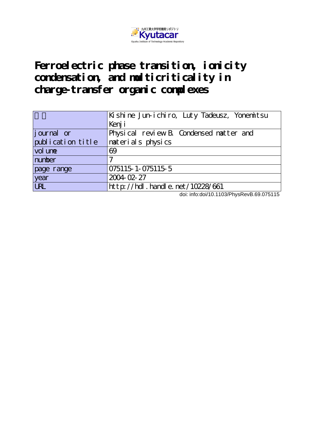

**Ferroelectric phase transition, ionicity condensation, and multicriticality in charge-transfer organic complexes**

|                   | Kishine Jun-ichiro, Luty Tadeusz, Yonemitsu |
|-------------------|---------------------------------------------|
|                   | Kenj i                                      |
| journal or        | Physical review B. Condensed natter and     |
| publication title | naterials physics                           |
| vol une           | 69                                          |
| number            |                                             |
| page range        | 075115 1 - 075115 5                         |
| year              | 2004-02-27                                  |
| <b>LRL</b>        | http://hdl . handl e. net/10228/661         |

doi: info:doi/10.1103/PhysRevB.69.075115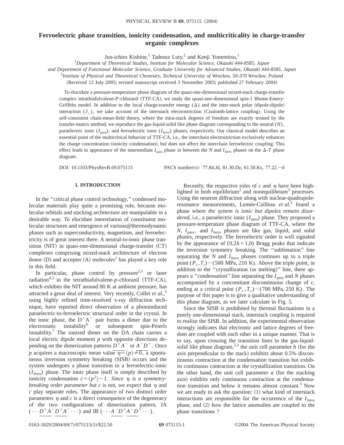# **Ferroelectric phase transition, ionicity condensation, and multicriticality in charge-transfer organic complexes**

Jun-ichiro Kishine,<sup>1</sup> Tadeusz Luty,<sup>2</sup> and Kenji Yonemitsu,<sup>1</sup>

1 *Department of Theoretical Studies, Institute for Molecular Science, Okazaki 444-8585, Japan*

*and Department of Functional Molecular Science, Graduate University for Advanced Studies, Okazaki 444-8585, Japan*

2 *Institute of Physical and Theoretical Chemistry, Technical University of Wrocław, 50-370 Wrocław, Poland*

(Received 12 July 2003; revised manuscript received 3 November 2003; published 27 February 2004)

To elucidate a pressure-temperature phase diagram of the quasi-one-dimensional mixed-stack charge-transfer complex tetrathiafulvalene-*P*-chloranil (TTF-CA), we study the quasi-one-dimensional spin-1 Blume-Emery-Griffiths model. In addition to the local charge-transfer energy  $(\Delta)$  and the inter-stack polar (dipole-dipole) interaction  $(J_{\perp})$ , we take account of the interstack electrostriction (Coulomb-lattice coupling). Using the self-consistent chain-mean-field theory, where the intra-stack degrees of freedom are exactly treated by the transfer-matrix method, we reproduce the gas-liquid-solid like phase diagram corresponding to the neutral (*N*), paraelectric ionic ( $I_{\text{para}}$ ), and ferroelectric ionic ( $I_{\text{ferro}}$ ) phases, respectively. Our classical model describes an essential point of the multicritical behavior of TTF-CA, i.e., the interchain electrostriction exclusively enhances the charge concentration (ionicity condensation), but does not affect the interchain ferroelectric coupling. This effect leads to appearance of the intermediate  $I_{\text{para}}$  phase in between the *N* and  $I_{\text{ferro}}$  phases on the  $\Delta$ -*T* phase diagram.

DOI: 10.1103/PhysRevB.69.075115 PACS number(s): 77.84.Jd, 81.30.Dz, 61.50.Ks, 77.22.-d

## **I. INTRODUCTION**

In the ''critical phase control technology,'' condensed molecular materials play quite a promising role, because molecular orbitals and stacking architecture are manipulable in a desirable way. To elucidate interrelation of constituent molecular structures and emergence of various@thermodynamic phases such as superconductivity, magnetism, and ferroelectricity is of great interest there. A neutral-to-ionic phase transition  $(NIT)$  in quasi-one-dimensional charge-transfer  $(CT)$ complexes comprising mixed-stack architecture of electron donor  $(D)$  and accepter  $(A)$  molecules<sup>1</sup> has played a key role in this field.

In particular, phase control by pressure<sup>2,3</sup> or laser radiation<sup>4,3</sup> in the tetrathiafulvalene-*p*-chloranil (TTF-CA), which exhibits the NIT around 80 K at ambient pressure, has attracted a great deal of interest. Very recently, Collet *et al.*, 5 using highly refined time-resolved x-ray diffraction technique, have reported direct observation of a photoinduced paraelectric-to-ferroelectric structural order in the crystal. In the ionic phase, the  $D^+A^-$  pair forms a dimer due to the electrostatic instability<sup>6</sup> or subsequent spin-Peierls instability.<sup>7</sup> The ionized dimer on the DA chain carries a local electric dipole moment *p* with opposite directions depending on the dimerization patterns  $D^+A^-$  or  $A^-D^+$ . Once *p* acquires a macroscopic mean value  $\overline{\eta} = \langle p \rangle \neq 0$ , a spontaneous inversion symmetry breaking (SISB) occurs and the system undergoes a phase transition to a ferroelectric-ionic  $(I<sub>ferro</sub>)$  phase. The ionic phase itself is simply described by ionicity condensation  $c = \langle p^2 \rangle \sim 1$ . *Since*  $\eta$  *is a symmetrybreaking order parameter but c* is not, we expect that  $\eta$  and *c* play separate roles. The appearance of two distinct order parameters  $\eta$  and  $c$  is a direct consequence of the degeneracy of the two configurations of dimerization pattern, IA  $(\cdots D^+A^-D^+A^- \cdots)$  and IB  $(\cdots A^-D^+A^-D^+ \cdots)$ .

Recently, the respective roles of  $c$  and  $\eta$  have been highlighted in both equilibrium<sup>2</sup> and nonequilibrium<sup>3</sup> processes. Using the neutron diffraction along with nuclear-quadrupoleresonance measurements, Lemée-Cailleau et al.<sup>2</sup> found a phase where *the system is ionic but dipoles remain disordered*, i.e., a paraelectric ionic  $(I_{\text{para}})$  phase. They proposed a pressure-temperature phase diagram of TTF-CA, where the  $N$ ,  $I_{\text{para}}$ , and  $I_{\text{ferro}}$  phases are like gas, liquid, and solid phases, respectively. The ferroelectric order is well signaled by the appearance of  $(0,2k+1,0)$  Bragg peaks that indicate the inversion symmetry breaking. The ''sublimation'' line separating the  $N$  and  $I_{\text{ferro}}$  phases continues up to a triple point  $(P_t, T_t) \sim (500 \text{ MPa}, 210 \text{ K})$ . Above the triple point, in addition to the "crystallization (or melting)" line, there appears a "condensation" line separating the  $I_{\text{para}}$  and *N* phases accompanied by a concomitant discontinuous change of *c*, ending at a critical point  $(P_c, T_c) \sim (700 \text{ MPa}, 250 \text{ K})$ . The purpose of this paper is to give a qualitative understanding of this phase diagram, as we later calculate in Fig. 5.

Since the SISB is prohibited by thermal fluctuations in a purely one-dimensional stack, interstack coupling is required to realize the SISB. In addition, the experimental observation strongly indicates that electronic and lattice degrees of freedom are coupled with each other in a unique manner. That is to say, upon crossing the transition lines in the gas-liquidsolid like phase diagram,<sup>2,3</sup> the unit cell parameter *b* (for the axis perpendicular to the stack) exhibits about 0.5% discontinuous contraction at the condensation transition but exhibits continuous contraction at the crystallization transition. On the other hand, the unit cell parameter  $a$  (for the stacking axis) exhibits only continuous contraction at the condensation transition and below it remains almost constant.3 Now we are ready to ask the question:  $(1)$  what kind of interstack interactions are responsible for the occurrence of the  $I<sub>ferro</sub>$ phase, and  $(2)$  how the lattice anomalies are coupled to the phase transitions ?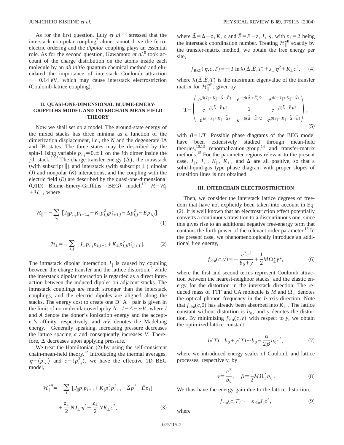As for the first question, Luty *et al*. 3,8 stressed that the interstack non-polar coupling<sup>7</sup> alone cannot drive the ferroelectric ordering and the *dipolar* coupling plays an essential role. As for the second question, Kawamoto *et al*. <sup>9</sup> took account of the charge distribution on the atoms inside each molecule by an *ab initio* quantum chemical method and elucidated the importance of interstack Coulomb attraction  $\sim$  -0.14 eV, which may cause interstack electrostriction (Coulomb-lattice coupling).

## **II. QUASI-ONE-DIMENSIONAL BLUME-EMERY-GRIFFITHS MODEL AND INTERCHAIN MEAN-FIELD THEORY**

Now we shall set up a model. The ground-state energy of the mixed stacks has three minima as a function of the dimerization displacement, i.e., the *N* and the degenerate IA and IB states. The three states may be described by the spin-1 Ising variable  $p_{i,j}=0,\pm 1$  on the *i*th dimer inside the *j*th stack.<sup>2,3,8</sup> The charge transfer energy ( $\Delta$ ), the intrastack (with subscript  $\parallel$ ) and interstack (with subscript  $\perp$ ) dipolar  $J$  and nonpolar  $(K)$  interactions, and the coupling with the electric field  $(E)$  are described by the quasi-one-dimensional (Q1D) Blume-Emery-Griffiths (BEG) model,<sup>10</sup>  $H = H_{\parallel}$  $+H_{\perp}$ , where

$$
\mathcal{H}_{\parallel} = -\sum_{i,j} [J_{\parallel}p_{i,j}p_{i+1,j} + K_{\parallel}p_{i,j}^2p_{i+1,j}^2 - \Delta p_{i,j}^2 - Ep_{i,j}],
$$
\n(1)

$$
\mathcal{H}_{\perp} = -\sum_{i,j} [J_{\perp} p_{i,j} p_{i,j+1} + K_{\perp} p_{i,j}^2 p_{i,j+1}^2]. \tag{2}
$$

The intrastack dipolar interaction  $J_{\parallel}$  is caused by coupling between the charge transfer and the lattice distortion, $\delta$  while the interstack dipolar interaction is regarded as a direct interaction between the induced dipoles on adjacent stacks. The intrastack couplings are much stronger than the interstack couplings, and the electric dipoles are aligned along the stacks. The energy cost to create one  $D^+A^-$  pair is given in the limit of no molecular overlap by  $\Delta = I - A - \alpha V$ , where *I* and *A* denote the donor's ionization energy and the accepter's affinity, respectively, and  $\alpha V$  denotes the Madelung energy.<sup>11</sup> Generally speaking, increasing pressure decreases the lattice spacing *a* and consequently increases *V*. Therefore,  $\Delta$  decreases upon applying pressure.

We treat the Hamiltonian  $(2)$  by using the self-consistent chain-mean-field theory.<sup>12</sup> Introducing the thermal averages,  $\eta = \langle p_{i,j} \rangle$  and  $c = \langle p_{i,j}^2 \rangle$ , we have the effective 1D BEG model,

$$
\mathcal{H}_{\parallel}^{\text{eff}} = -\sum_{i} \left[ J_{\parallel} p_{i} p_{i+1} + K_{\parallel} p_{i}^{2} p_{i+1}^{2} - \tilde{\Delta} p_{i}^{2} - \tilde{E} p_{i} \right] + \frac{z_{\perp}}{2} N J_{\perp} \eta^{2} + \frac{z_{\perp}}{2} N K_{\perp} c^{2}, \qquad (3)
$$

where  $\tilde{\Delta} = \Delta - z_{\perp} K_{\perp} c$  and  $\tilde{E} = E - z_{\perp} J_{\perp} \eta$ , with  $z_{\perp} = 2$  being the interstack coordination number. Treating  $\mathcal{H}^{\text{eff}}_{\parallel}$  exactly by the transfer-matrix method, we obtain the free energy per site,

$$
f_{\text{BEG}}(\eta, c, T) = -T \ln \lambda(\tilde{\Delta}, \tilde{E}, T) + J_{\perp} \eta^2 + K_{\perp} c^2, \quad (4)
$$

where  $\lambda(\tilde{\Delta}, \tilde{E}, T)$  is the maximum eigenvalue of the transfer matrix for  $\mathcal{H}^{\text{eff}}_{\parallel}$ , given by

$$
\mathbf{T} = \begin{pmatrix} e^{\beta(J_{\parallel} + K_{\parallel} - \tilde{\Delta} - \tilde{E})} & e^{-\beta(\tilde{\Delta} + \tilde{E})/2} & e^{\beta(-J_{\parallel} + K_{\parallel} - \tilde{\Delta})} \\ e^{-\beta(\tilde{\Delta} + \tilde{E})/2} & 1 & e^{-\beta(\tilde{\Delta} - \tilde{E})/2} \\ e^{\beta(-J_{\parallel} + K_{\parallel} - \tilde{\Delta})} & e^{-\beta(\tilde{\Delta} - \tilde{E})/2} & e^{\beta(J_{\parallel} + K_{\parallel} - \tilde{\Delta} + \tilde{E})} \end{pmatrix},
$$
\n(5)

with  $\beta=1/T$ . Possible phase diagrams of the BEG model have been extensively studied through mean-field theories,  $^{10,13}$  renormalization-group,  $^{14}$  and transfer-matrix methods.15 For the parameter regions relevant to the present case,  $J_{\parallel}$ ,  $J_{\perp}$ ,  $K_{\parallel}$ ,  $K_{\perp}$ , and  $\Delta$  are all positive, so that a solid-liquid-gas type phase diagram with proper slopes of transition lines is not obtained.

### **III. INTERCHAIN ELECTROSTRICTION**

Then, we consider the interstack lattice degrees of freedom that have not explicitly been taken into account in Eq.  $(2)$ . It is well known that an electrostriction effect potentially converts a continuous transition to a discontinuous one, since this gives rise to an additional negative free-energy term that contains the forth power of the relevant order parameter.<sup>16</sup> In the present case, we phenomenologically introduce an additional free energy,

$$
f_{\text{elst}}(c, y) = -\frac{e^2 c^2}{b_0 + y} + \frac{1}{2} M \Omega_{\perp}^2 y^2, \tag{6}
$$

where the first and second terms represent Coulomb attraction between the nearest-neighbor stacks $9$  and the elastic energy for the distortion in the interstack direction. The reduced mass of TTF and CA molecule is *M* and  $\Omega_1$  denotes the optical phonon frequency in the *b*-axis direction. Note that  $f_{\text{elst}}(c,0)$  has already been absorbed into  $K_{\perp}$ . The lattice constant without distortion is  $b_0$ , and *y* denotes the distortion. By minimizing  $f_{\text{elst}}(c, y)$  with respect to *y*, we obtain the optimized lattice constant,

$$
b(T) = b_0 + y(T) \sim b_0 - \frac{\alpha}{2\beta} b_0 c^2,
$$
 (7)

where we introduced energy scales of Coulomb and lattice processes, respectively, by

$$
\alpha \equiv \frac{e^2}{b_0}, \quad \beta \equiv \frac{1}{2} M \Omega_{\perp}^2 b_0^2. \tag{8}
$$

We thus have the energy gain due to the lattice distortion,

$$
f_{\text{elst}}(c,T) \sim -\varepsilon_{\text{elst}} J_{\parallel} c^4,\tag{9}
$$

where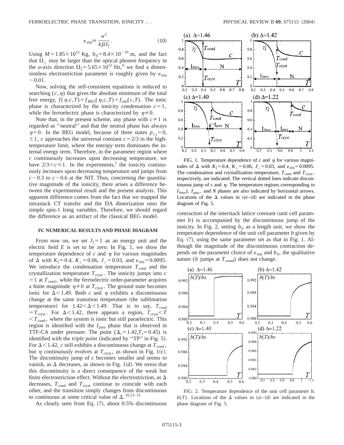$$
\varepsilon_{\text{elst}} = \frac{\alpha^2}{4\beta J_{\parallel}}.\tag{10}
$$

Using  $M=1.85\times10^{12}$  Kg,  $b_0=8.4\times10^{-10}$  m, and the fact that  $\Omega_1$  may be larger than the optical phonon frequency in the *a*-axis direction  $\Omega_{\parallel} = 5.65 \times 10^{12}$  Hz,<sup>6</sup> we find a dimensionless electrostriction parameter is roughly given by  $\varepsilon_{\text{elst}}$  $\sim 0.01$ .

Now, solving the self-consistent equations is reduced to searching  $(c, \eta)$  that gives the absolute minimum of the total free energy,  $f(\eta, c, T) = f_{\text{BEG}}(\eta, c, T) + f_{\text{elst}}(c, T)$ . The ionic phase is characterized by the ionicity condensation  $c=1$ , while the ferroelectric phase is characterized by  $\eta \neq 0$ .

Note that, in the present scheme, any phase with  $c \neq 1$  is regarded as ''neutral'' and that the neutral phase has always  $\eta=0$ . In the BEG model, because of three states  $p_{i,j}=0$ ,  $\pm 1$ , *c* approaches the universal constant  $c = 2/3$  in the hightemperature limit, where the entropy term dominates the internal energy term. Therefore, in the parameter region where *c* continuously increases upon decreasing temperature, we have  $2/3 < c \leq 1$ . In the experiments,<sup>1</sup> the ionicity continuously increases upon decreasing temperature and jumps from  $c \sim 0.3$  to  $c \sim 0.6$  at the NIT. Thus, concerning the quantitative magnitude of the ionicity, there arises a difference between the experimental result and the present analysis. This apparent difference comes from the fact that we mapped the intrastack CT transfer and the DA dimerization onto the simple spin-1 Ising variables. Therefore, we should regard the difference as an artifact of the classical BEG model.

#### **IV. NUMERICAL RESULTS AND PHASE DIAGRAM**

From now on, we set  $J_{\parallel}=1$  as an energy unit and the electric field  $E$  is set to be zero. In Fig. 1, we show the temperature dependence of  $c$  and  $\eta$  for various magnitudes of  $\Delta$  with  $K_{\parallel} = 0.4$ ,  $K_{\perp} = 0.06$ ,  $J_{\perp} = 0.03$ , and  $\varepsilon_{\text{elst}} = 0.0095$ . We introduce the condensation temperature  $T_{\text{cond}}$  and the crystallization temperature  $T_{\text{cryst}}$ . The ionicity jumps into  $c$  $=$  1 at  $T_{\text{cond}}$ , while the ferroelectric order-parameter acquires a finite magnitude  $\eta \neq 0$  at  $T_{\text{cryst}}$ . The ground state becomes ionic for  $\Delta$ <1.49. Both *c* and  $\eta$  exhibits a discontinuous change at the same transition temperature (the sublimation temperature) for  $1.42 < \Delta < 1.49$ . That is to say,  $T_{cond}$  $T = T_{crvst}$ . For  $\Delta < 1.42$ , there appears a region,  $T_{crvst} < T$  $T_{\text{cond}}$ , where the system is ionic but still paraelectric. This region is identified with the  $I_{\text{para}}$  phase that is observed in TTF-CA under pressure. The point  $(\Delta_t=1.42, T_t=0.45)$  is identified with the *triple point* (indicated by "TP" in Fig. 5). For  $\Delta$  < 1.42, *c* still exhibits a discontinuous change at  $T_{\text{cond}}$ , but  $\eta$  continuously evolves at  $T_{\text{cryst}}$ , as shown in Fig. 1(c). The discontinuity jump of *c* becomes smaller and seems to vanish, as  $\Delta$  decreases, as shown in Fig. 1(d). We stress that this discontinuity is a direct consequence of the weak but finite electrostriction effect. Without the electrostriction, as  $\Delta$ decreases,  $T_{\text{cond}}$  and  $T_{\text{cryst}}$  continue to coincide with each other, and the transition simply changes from discontinuous to continuous at some critical value of  $\Delta$ . <sup>10,13–15</sup>

As clearly seen from Eq.  $(7)$ , about 0.5% discontinuous



FIG. 1. Temperature dependence of  $c$  and  $\eta$  for various magnitudes of  $\Delta$  with  $K_{\parallel} = 0.4$ ,  $K_{\perp} = 0.06$ ,  $J_{\perp} = 0.03$ , and  $\varepsilon_{\text{elst}} = 0.0095$ . The condensation and crystallization temperature,  $T_{\text{cond}}$  and  $T_{\text{cryst}}$ , respectively, are indicated. The vertical dotted lines indicate discontinuous jump of  $c$  and  $\eta$ . The temperature regions corresponding to  $I_{\text{ferro}}$ ),  $I_{\text{para}}$ , and *N* phases are also indicated by horizontal arrows. Locations of the  $\Delta$  values in (a)–(d) are indicated in the phase diagram of Fig. 5.

contraction of the interstack lattice constant (unit cell parameter *b*) is accompanied by the discontinuous jump of the ionicity. In Fig. 2, setting  $b_0$  as a length unit, we show the temperature dependence of the unit cell parameter *b* given by Eq.  $(7)$ , using the same parameter set as that in Fig. 1. Although the magnitude of the discontinuous contraction depends on the parameter choice of  $\varepsilon_{\text{elst}}$  and  $b_0$ , the qualitative nature ( $b$  jumps at  $T_{cond}$ ) does not change.



FIG. 2. Temperature dependence of the unit cell parameter *b*,  $b(T)$ . Locations of the  $\Delta$  values in (a)–(d) are indicated in the phase diagram of Fig. 5.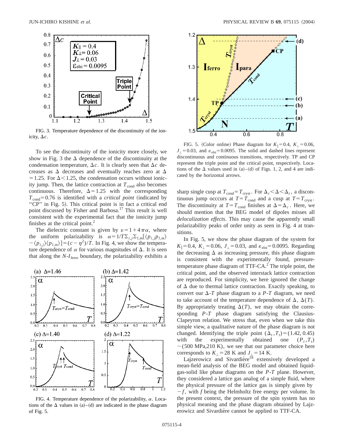

FIG. 3. Temperature dependence of the discontinuity of the ionicity,  $\Delta c$ .

To see the discontinuity of the ionicity more closely, we show in Fig. 3 the  $\Delta$  dependence of the discontinuity at the condensation temperature,  $\Delta c$ . It is clearly seen that  $\Delta c$  decreases as  $\Delta$  decreases and eventually reaches zero at  $\Delta$  $=1.25$ . For  $\Delta < 1.25$ , the condensation occurs without ionicity jump. Then, the lattice contraction at  $T_{\text{cond}}$  also becomes continuous. Therefore,  $\Delta = 1.25$  with the corresponding  $T_{cond}$ =0.76 is identified with a *critical point* (indicated by "CP" in Fig. 5). This critical point is in fact a critical end point discussed by Fisher and Barbosa.<sup>17</sup> This result is well consistent with the experimental fact that the ionicity jump finishes at the critical point.<sup>2</sup>

The dielectric constant is given by  $\varepsilon = 1 + 4\pi\alpha$ , where the uniform polarizability is  $\alpha = 1/T \sum_{i,j} \sum_{l,m} (\langle p_{i,j} p_{l,m} \rangle)$  $-\langle p_{i,j}\rangle\langle p_{l,m}\rangle$ ] =  $(c - \eta^2)/T$ . In Fig. 4, we show the temperature dependence of  $\alpha$  for various magnitudes of  $\Delta$ . It is seen that along the  $N-I<sub>ferro</sub>$  boundary, the polarizability exhibits a



FIG. 4. Temperature dependence of the polarizability,  $\alpha$ . Locations of the  $\Delta$  values in (a)–(d) are indicated in the phase diagram of Fig. 5.



FIG. 5. (Color online) Phase diagram for  $K_{\parallel}=0.4$ ,  $K_{\perp}=0.06$ ,  $J_{\perp}=0.03$ , and  $\varepsilon_{\text{elst}}=0.0095$ . The solid and dashed lines represent discontinuous and continuous transitions, respectively. TP and CP represent the triple point and the critical point, respectively. Locations of the  $\Delta$  values used in (a)–(d) of Figs. 1, 2, and 4 are indicated by the horizontal arrows.

sharp single cusp at  $T_{cond} = T_{crvst}$ . For  $\Delta_c < \Delta < \Delta_t$ , a discontinuous jump occcurs at  $T = T_{\text{cond}}$  and a cusp at  $T = T_{\text{cryst}}$ . The discontinuity at  $T=T_{\text{cond}}$  finishes at  $\Delta=\Delta_c$ . Here, we should mention that the BEG model of dipoles misses all *delocalization effects*. This may cause the apparently small polarizability peaks of order unity as seen in Fig. 4 at transitions.

In Fig. 5, we show the phase diagram of the system for  $K_{\parallel}$ =0.4,  $K_{\perp}$ =0.06,  $J_{\perp}$ =0.03, and  $\varepsilon_{\text{elst}}$ =0.0095. Regarding the decreasing  $\Delta$  as increasing pressure, this phase diagram is consistent with the experimentally found, pressuretemperature phase diagram of  $TTF-CA<sup>2</sup>$ . The triple point, the critical point, and the observed interstack lattice contraction are reproduced. For simplicity, we here ignored the change of  $\Delta$  due to thermal lattice contraction. Exactly speaking, to convert our  $\Delta$ -*T* phase diagram to a *P*-*T* diagram, we need to take account of the temperature dependence of  $\Delta$ ,  $\Delta(T)$ . By appropriately treating  $\Delta(T)$ , we may obtain the corresponding *P*-*T* phase diagram satisfying the Clausius-Clapeyron relation. We stress that, even when we take this simple view, a qualitative nature of the phase diagram is not changed. Identifying the triple point  $(\Delta_t, T_t) = (1.42, 0.45)$ with the experimentally obtained one  $(P_t, T_t)$  $\sim$ (500 MPa,210 K), we see that our parameter choice here corresponds to  $K_{\perp}$  = 28 K and  $J_{\perp}$  = 14 K.

Lajzerowicz and Sivardiére<sup>18</sup> extensively developed a mean-field analysis of the BEG model and obtained liquidgas-solid like phase diagrams on the *P*-*T* plane. However, they considered a lattice gas analog of a simple fluid, where the physical pressure of the lattice gas is simply given by  $-f$ , with *f* being the Helmholtz free energy per volume. In the present context, the pressure of the spin system has no physical meaning and the phase diagram obtained by Lajzerowicz and Sivardiére cannot be applied to TTF-CA.